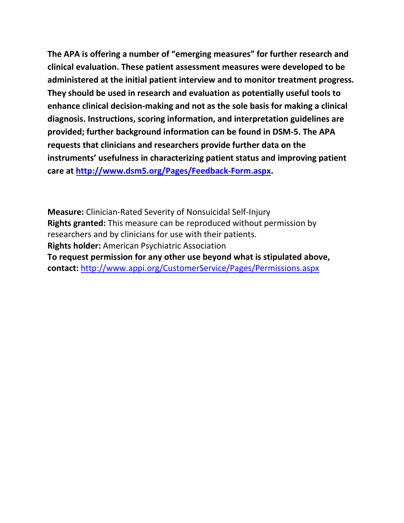**The APA is offering a number of "emerging measures" for further research and clinical evaluation. These patient assessment measures were developed to be administered at the initial patient interview and to monitor treatment progress. They should be used in research and evaluation as potentially useful tools to enhance clinical decision-making and not as the sole basis for making a clinical diagnosis. Instructions, scoring information, and interpretation guidelines are provided; further background information can be found in DSM-5. The APA requests that clinicians and researchers provide further data on the instruments' usefulness in characterizing patient status and improving patient care at [http://www.dsm5.org/Pages/Feedback-Form.aspx.](http://www.dsm5.org/Pages/Feedback-Form.aspx)**

**Measure:** Clinician-Rated Severity of Nonsuicidal Self-Injury **Rights granted:** This measure can be reproduced without permission by researchers and by clinicians for use with their patients. **Rights holder:** American Psychiatric Association **To request permission for any other use beyond what is stipulated above, contact:** <http://www.appi.org/CustomerService/Pages/Permissions.aspx>